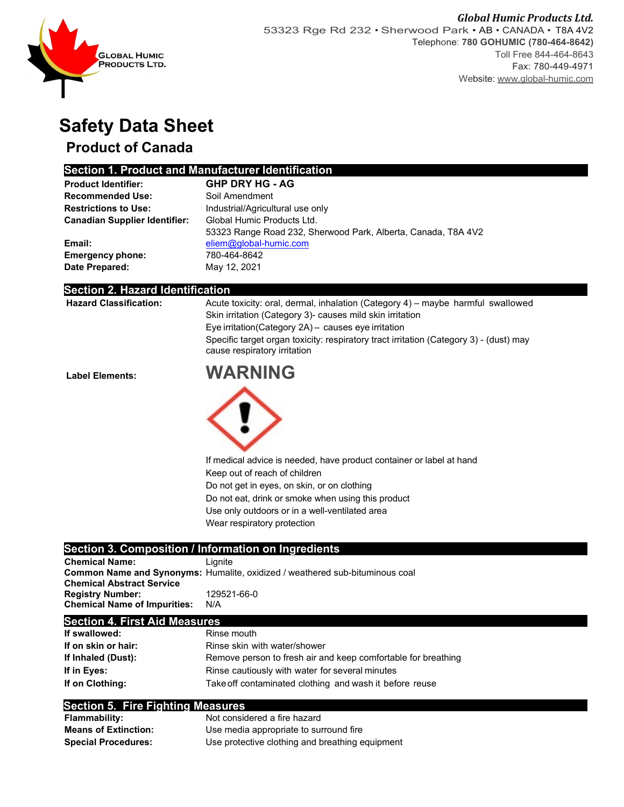

# **Safety Data Sheet**

## **Product of Canada**

### **Section 1. Product and Manufacturer Identification**

| <b>Product Identifier:</b>           | <b>GHP DRY HG - AG</b>                                        |
|--------------------------------------|---------------------------------------------------------------|
| <b>Recommended Use:</b>              | Soil Amendment                                                |
| <b>Restrictions to Use:</b>          | Industrial/Agricultural use only                              |
| <b>Canadian Supplier Identifier:</b> | Global Humic Products Ltd.                                    |
|                                      | 53323 Range Road 232, Sherwood Park, Alberta, Canada, T8A 4V2 |
| Email:                               | eliem@global-humic.com                                        |
| <b>Emergency phone:</b>              | 780-464-8642                                                  |
| Date Prepared:                       | May 12, 2021                                                  |

#### **Section 2. Hazard Identification**

| <b>Hazard Classification:</b> | Acute toxicity: oral, dermal, inhalation (Category 4) – maybe harmful swallowed<br>Skin irritation (Category 3)- causes mild skin irritation<br>Eye irritation(Category 2A) - causes eye irritation<br>Specific target organ toxicity: respiratory tract irritation (Category 3) - (dust) may<br>cause respiratory irritation |
|-------------------------------|-------------------------------------------------------------------------------------------------------------------------------------------------------------------------------------------------------------------------------------------------------------------------------------------------------------------------------|
| <b>Label Elements:</b>        | <b>WARNING</b>                                                                                                                                                                                                                                                                                                                |
|                               |                                                                                                                                                                                                                                                                                                                               |
|                               | If medical advice is needed, have product container or label at hand                                                                                                                                                                                                                                                          |
|                               | Keep out of reach of children                                                                                                                                                                                                                                                                                                 |
|                               | Do not get in eyes, on skin, or on clothing                                                                                                                                                                                                                                                                                   |
|                               | Do not eat, drink or smoke when using this product                                                                                                                                                                                                                                                                            |
|                               | Use only outdoors or in a well-ventilated area                                                                                                                                                                                                                                                                                |
|                               | Wear respiratory protection                                                                                                                                                                                                                                                                                                   |
|                               | Section 3 Composition / Information on Ingradiants                                                                                                                                                                                                                                                                            |

#### **Section 3. Composition / Information on Ingredients**

| <b>Chemical Name:</b>               | Lianite                                                                             |
|-------------------------------------|-------------------------------------------------------------------------------------|
|                                     | <b>Common Name and Synonyms:</b> Humalite, oxidized / weathered sub-bituminous coal |
| <b>Chemical Abstract Service</b>    |                                                                                     |
| <b>Registry Number:</b>             | 129521-66-0                                                                         |
| <b>Chemical Name of Impurities:</b> | N/A                                                                                 |
|                                     |                                                                                     |

#### **Section 4. First Aid Measures**

| If swallowed:       | Rinse mouth                                                   |
|---------------------|---------------------------------------------------------------|
| If on skin or hair: | Rinse skin with water/shower                                  |
| If Inhaled (Dust):  | Remove person to fresh air and keep comfortable for breathing |
| If in Eves:         | Rinse cautiously with water for several minutes               |
| If on Clothing:     | Take off contaminated clothing and wash it before reuse       |

#### **Section 5. Fire Fighting Measures**

| <b>Flammability:</b>        | Not considered a fire hazard                    |
|-----------------------------|-------------------------------------------------|
| <b>Means of Extinction:</b> | Use media appropriate to surround fire          |
| <b>Special Procedures:</b>  | Use protective clothing and breathing equipment |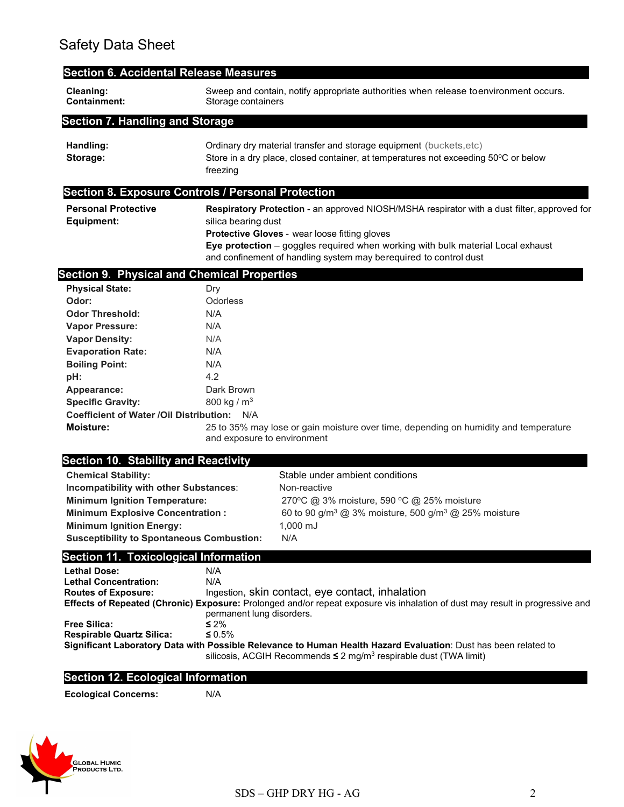|                                                                                     | <b>Section 6. Accidental Release Measures</b>                                                                                                                                                                                                                                                                               |                                                                                                                                                                                                       |  |
|-------------------------------------------------------------------------------------|-----------------------------------------------------------------------------------------------------------------------------------------------------------------------------------------------------------------------------------------------------------------------------------------------------------------------------|-------------------------------------------------------------------------------------------------------------------------------------------------------------------------------------------------------|--|
| Cleaning:<br>Containment:                                                           | Sweep and contain, notify appropriate authorities when release to environment occurs.<br>Storage containers                                                                                                                                                                                                                 |                                                                                                                                                                                                       |  |
| <b>Section 7. Handling and Storage</b>                                              |                                                                                                                                                                                                                                                                                                                             |                                                                                                                                                                                                       |  |
| Handling:<br>Storage:                                                               | Ordinary dry material transfer and storage equipment (buckets, etc)<br>Store in a dry place, closed container, at temperatures not exceeding 50°C or below<br>freezing                                                                                                                                                      |                                                                                                                                                                                                       |  |
| <b>Section 8. Exposure Controls / Personal Protection</b>                           |                                                                                                                                                                                                                                                                                                                             |                                                                                                                                                                                                       |  |
| <b>Personal Protective</b><br><b>Equipment:</b>                                     | Respiratory Protection - an approved NIOSH/MSHA respirator with a dust filter, approved for<br>silica bearing dust<br>Protective Gloves - wear loose fitting gloves<br>Eye protection - goggles required when working with bulk material Local exhaust<br>and confinement of handling system may berequired to control dust |                                                                                                                                                                                                       |  |
| <b>Section 9. Physical and Chemical Properties</b>                                  |                                                                                                                                                                                                                                                                                                                             |                                                                                                                                                                                                       |  |
| <b>Physical State:</b>                                                              | Dry                                                                                                                                                                                                                                                                                                                         |                                                                                                                                                                                                       |  |
| Odor:                                                                               | Odorless                                                                                                                                                                                                                                                                                                                    |                                                                                                                                                                                                       |  |
| <b>Odor Threshold:</b>                                                              | N/A                                                                                                                                                                                                                                                                                                                         |                                                                                                                                                                                                       |  |
| <b>Vapor Pressure:</b>                                                              | N/A                                                                                                                                                                                                                                                                                                                         |                                                                                                                                                                                                       |  |
| <b>Vapor Density:</b>                                                               | N/A                                                                                                                                                                                                                                                                                                                         |                                                                                                                                                                                                       |  |
| <b>Evaporation Rate:</b>                                                            | N/A                                                                                                                                                                                                                                                                                                                         |                                                                                                                                                                                                       |  |
| <b>Boiling Point:</b>                                                               | N/A                                                                                                                                                                                                                                                                                                                         |                                                                                                                                                                                                       |  |
| pH:                                                                                 | 4.2                                                                                                                                                                                                                                                                                                                         |                                                                                                                                                                                                       |  |
| Appearance:                                                                         | Dark Brown                                                                                                                                                                                                                                                                                                                  |                                                                                                                                                                                                       |  |
| <b>Specific Gravity:</b>                                                            | 800 kg / $m3$                                                                                                                                                                                                                                                                                                               |                                                                                                                                                                                                       |  |
| Coefficient of Water / Oil Distribution: N/A                                        |                                                                                                                                                                                                                                                                                                                             |                                                                                                                                                                                                       |  |
| Moisture:                                                                           |                                                                                                                                                                                                                                                                                                                             | 25 to 35% may lose or gain moisture over time, depending on humidity and temperature<br>and exposure to environment                                                                                   |  |
|                                                                                     |                                                                                                                                                                                                                                                                                                                             |                                                                                                                                                                                                       |  |
|                                                                                     |                                                                                                                                                                                                                                                                                                                             |                                                                                                                                                                                                       |  |
| <b>Section 10. Stability and Reactivity</b>                                         |                                                                                                                                                                                                                                                                                                                             | Stable under ambient conditions                                                                                                                                                                       |  |
| <b>Chemical Stability:</b>                                                          |                                                                                                                                                                                                                                                                                                                             | Non-reactive                                                                                                                                                                                          |  |
| Incompatibility with other Substances:                                              |                                                                                                                                                                                                                                                                                                                             |                                                                                                                                                                                                       |  |
| <b>Minimum Ignition Temperature:</b>                                                |                                                                                                                                                                                                                                                                                                                             | 270°C @ 3% moisture, 590 °C @ 25% moisture                                                                                                                                                            |  |
| <b>Minimum Explosive Concentration:</b>                                             |                                                                                                                                                                                                                                                                                                                             | 60 to 90 g/m <sup>3</sup> @ 3% moisture, 500 g/m <sup>3</sup> @ 25% moisture                                                                                                                          |  |
| <b>Minimum Ignition Energy:</b><br><b>Susceptibility to Spontaneous Combustion:</b> |                                                                                                                                                                                                                                                                                                                             | 1,000 mJ<br>N/A                                                                                                                                                                                       |  |
|                                                                                     |                                                                                                                                                                                                                                                                                                                             |                                                                                                                                                                                                       |  |
| <b>Section 11. Toxicological Information</b>                                        |                                                                                                                                                                                                                                                                                                                             |                                                                                                                                                                                                       |  |
| <b>Lethal Dose:</b>                                                                 | N/A                                                                                                                                                                                                                                                                                                                         |                                                                                                                                                                                                       |  |
| <b>Lethal Concentration:</b><br><b>Routes of Exposure:</b>                          | N/A                                                                                                                                                                                                                                                                                                                         | Ingestion, skin contact, eye contact, inhalation                                                                                                                                                      |  |
|                                                                                     |                                                                                                                                                                                                                                                                                                                             |                                                                                                                                                                                                       |  |
|                                                                                     | permanent lung disorders.                                                                                                                                                                                                                                                                                                   |                                                                                                                                                                                                       |  |
| <b>Free Silica:</b>                                                                 | $\leq 2\%$                                                                                                                                                                                                                                                                                                                  | Effects of Repeated (Chronic) Exposure: Prolonged and/or repeat exposure vis inhalation of dust may result in progressive and                                                                         |  |
| <b>Respirable Quartz Silica:</b>                                                    | $\leq 0.5\%$                                                                                                                                                                                                                                                                                                                | Significant Laboratory Data with Possible Relevance to Human Health Hazard Evaluation: Dust has been related to<br>silicosis, ACGIH Recommends $\leq 2$ mg/m <sup>3</sup> respirable dust (TWA limit) |  |
| <b>Section 12. Ecological Information</b>                                           |                                                                                                                                                                                                                                                                                                                             |                                                                                                                                                                                                       |  |
| <b>Ecological Concerns:</b>                                                         | N/A                                                                                                                                                                                                                                                                                                                         |                                                                                                                                                                                                       |  |